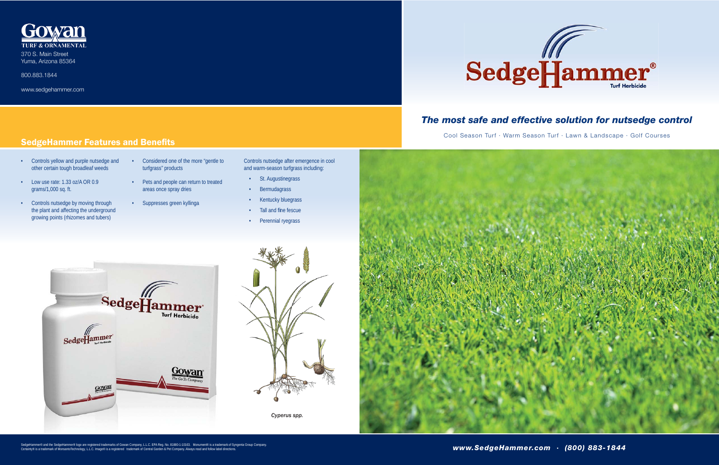## *The most safe and effective solution for nutsedge control*

Cool Season Turf · Warm Season Turf · Lawn & Landscape · Golf Courses



*Cyperus spp.*



- Controls yellow and purple nutsedge and other certain tough broadleaf weeds
- Low use rate: 1.33 oz/A OR 0.9 grams/1,000 sq. ft.
- Controls nutsedge by moving through the plant and affecting the underground growing points (rhizomes and tubers)
- Considered one of the more "gentle to turfgrass" products
- Pets and people can return to treated areas once spray dries
- Suppresses green kyllinga
- Controls nutsedge after emergence in cool and warm-season turfgrass including:
- St. Augustinegrass
- Bermudagrass
- Kentucky bluegrass
- Tall and fine fescue
- Perennial ryegrass







370 S. Main Street Yuma, Arizona 85364

800.883.1844

www.sedgehammer.com

## **SedgeHammer Features and Benefits**